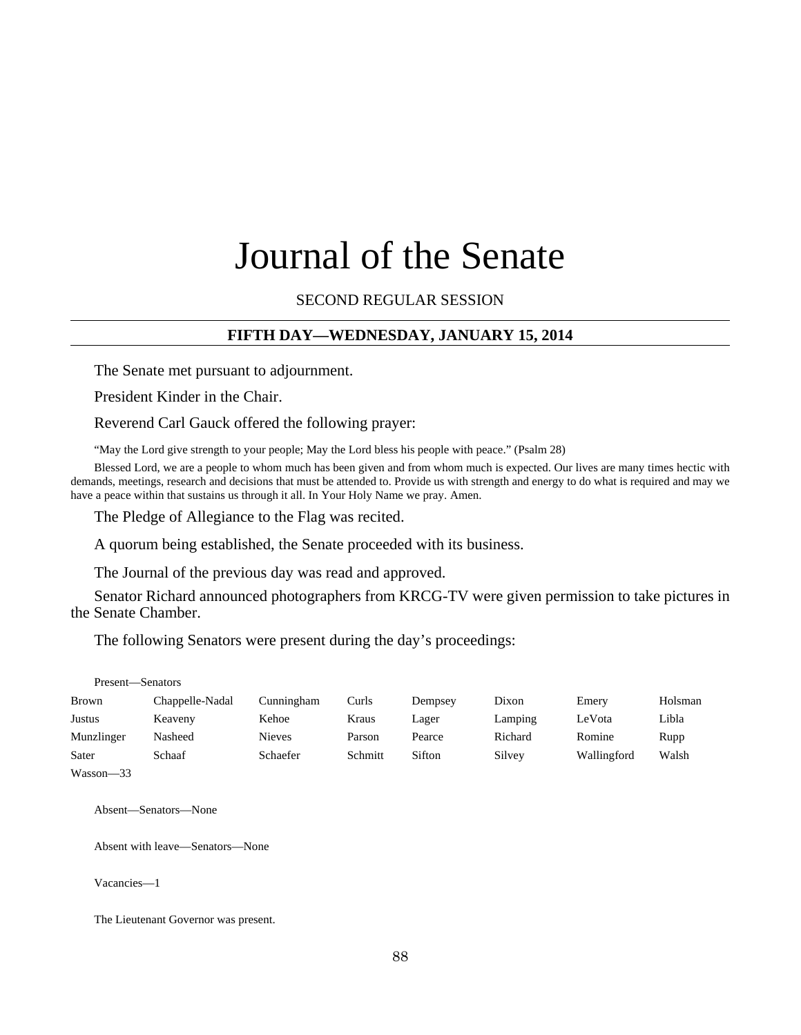# Journal of the Senate

# SECOND REGULAR SESSION

# **FIFTH DAY—WEDNESDAY, JANUARY 15, 2014**

The Senate met pursuant to adjournment.

President Kinder in the Chair.

Reverend Carl Gauck offered the following prayer:

"May the Lord give strength to your people; May the Lord bless his people with peace." (Psalm 28)

Blessed Lord, we are a people to whom much has been given and from whom much is expected. Our lives are many times hectic with demands, meetings, research and decisions that must be attended to. Provide us with strength and energy to do what is required and may we have a peace within that sustains us through it all. In Your Holy Name we pray. Amen.

The Pledge of Allegiance to the Flag was recited.

A quorum being established, the Senate proceeded with its business.

The Journal of the previous day was read and approved.

Senator Richard announced photographers from KRCG-TV were given permission to take pictures in the Senate Chamber.

The following Senators were present during the day's proceedings:

| Present-Senators |                 |            |         |         |         |             |         |
|------------------|-----------------|------------|---------|---------|---------|-------------|---------|
| Brown            | Chappelle-Nadal | Cunningham | Curls   | Dempsey | Dixon   | Emery       | Holsman |
| Justus           | Keaveny         | Kehoe      | Kraus   | Lager   | Lamping | LeVota      | Libla   |
| Munzlinger       | Nasheed         | Nieves     | Parson  | Pearce  | Richard | Romine      | Rupp    |
| Sater            | Schaaf          | Schaefer   | Schmitt | Sifton  | Silvey  | Wallingford | Walsh   |
| $Wascon = 33$    |                 |            |         |         |         |             |         |

Absent—Senators—None

Absent with leave—Senators—None

Vacancies—1

The Lieutenant Governor was present.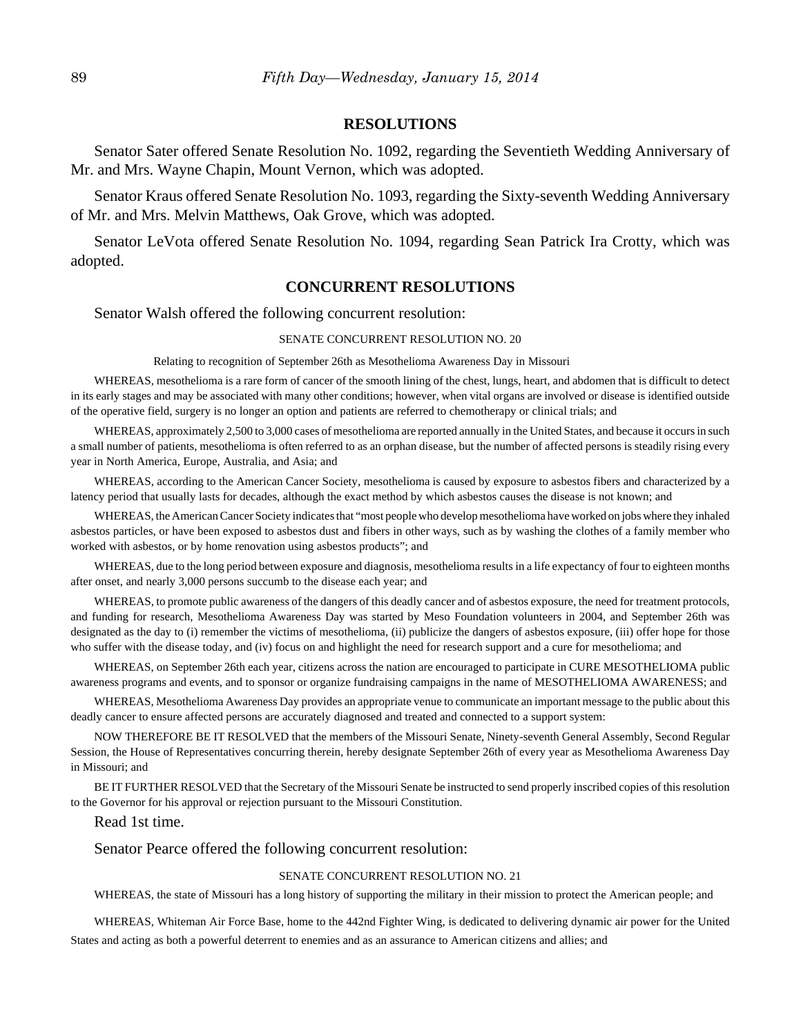# **RESOLUTIONS**

Senator Sater offered Senate Resolution No. 1092, regarding the Seventieth Wedding Anniversary of Mr. and Mrs. Wayne Chapin, Mount Vernon, which was adopted.

Senator Kraus offered Senate Resolution No. 1093, regarding the Sixty-seventh Wedding Anniversary of Mr. and Mrs. Melvin Matthews, Oak Grove, which was adopted.

Senator LeVota offered Senate Resolution No. 1094, regarding Sean Patrick Ira Crotty, which was adopted.

# **CONCURRENT RESOLUTIONS**

Senator Walsh offered the following concurrent resolution:

#### SENATE CONCURRENT RESOLUTION NO. 20

Relating to recognition of September 26th as Mesothelioma Awareness Day in Missouri

WHEREAS, mesothelioma is a rare form of cancer of the smooth lining of the chest, lungs, heart, and abdomen that is difficult to detect in its early stages and may be associated with many other conditions; however, when vital organs are involved or disease is identified outside of the operative field, surgery is no longer an option and patients are referred to chemotherapy or clinical trials; and

WHEREAS, approximately 2,500 to 3,000 cases of mesothelioma are reported annually in the United States, and because it occurs in such a small number of patients, mesothelioma is often referred to as an orphan disease, but the number of affected persons is steadily rising every year in North America, Europe, Australia, and Asia; and

WHEREAS, according to the American Cancer Society, mesothelioma is caused by exposure to asbestos fibers and characterized by a latency period that usually lasts for decades, although the exact method by which asbestos causes the disease is not known; and

WHEREAS, the American Cancer Society indicates that "most people who develop mesothelioma have worked on jobs where they inhaled asbestos particles, or have been exposed to asbestos dust and fibers in other ways, such as by washing the clothes of a family member who worked with asbestos, or by home renovation using asbestos products"; and

WHEREAS, due to the long period between exposure and diagnosis, mesothelioma results in a life expectancy of four to eighteen months after onset, and nearly 3,000 persons succumb to the disease each year; and

WHEREAS, to promote public awareness of the dangers of this deadly cancer and of asbestos exposure, the need for treatment protocols, and funding for research, Mesothelioma Awareness Day was started by Meso Foundation volunteers in 2004, and September 26th was designated as the day to (i) remember the victims of mesothelioma, (ii) publicize the dangers of asbestos exposure, (iii) offer hope for those who suffer with the disease today, and (iv) focus on and highlight the need for research support and a cure for mesothelioma; and

WHEREAS, on September 26th each year, citizens across the nation are encouraged to participate in CURE MESOTHELIOMA public awareness programs and events, and to sponsor or organize fundraising campaigns in the name of MESOTHELIOMA AWARENESS; and

WHEREAS, Mesothelioma Awareness Day provides an appropriate venue to communicate an important message to the public about this deadly cancer to ensure affected persons are accurately diagnosed and treated and connected to a support system:

NOW THEREFORE BE IT RESOLVED that the members of the Missouri Senate, Ninety-seventh General Assembly, Second Regular Session, the House of Representatives concurring therein, hereby designate September 26th of every year as Mesothelioma Awareness Day in Missouri; and

BE IT FURTHER RESOLVED that the Secretary of the Missouri Senate be instructed to send properly inscribed copies of this resolution to the Governor for his approval or rejection pursuant to the Missouri Constitution.

#### Read 1st time.

Senator Pearce offered the following concurrent resolution:

#### SENATE CONCURRENT RESOLUTION NO. 21

WHEREAS, the state of Missouri has a long history of supporting the military in their mission to protect the American people; and

WHEREAS, Whiteman Air Force Base, home to the 442nd Fighter Wing, is dedicated to delivering dynamic air power for the United States and acting as both a powerful deterrent to enemies and as an assurance to American citizens and allies; and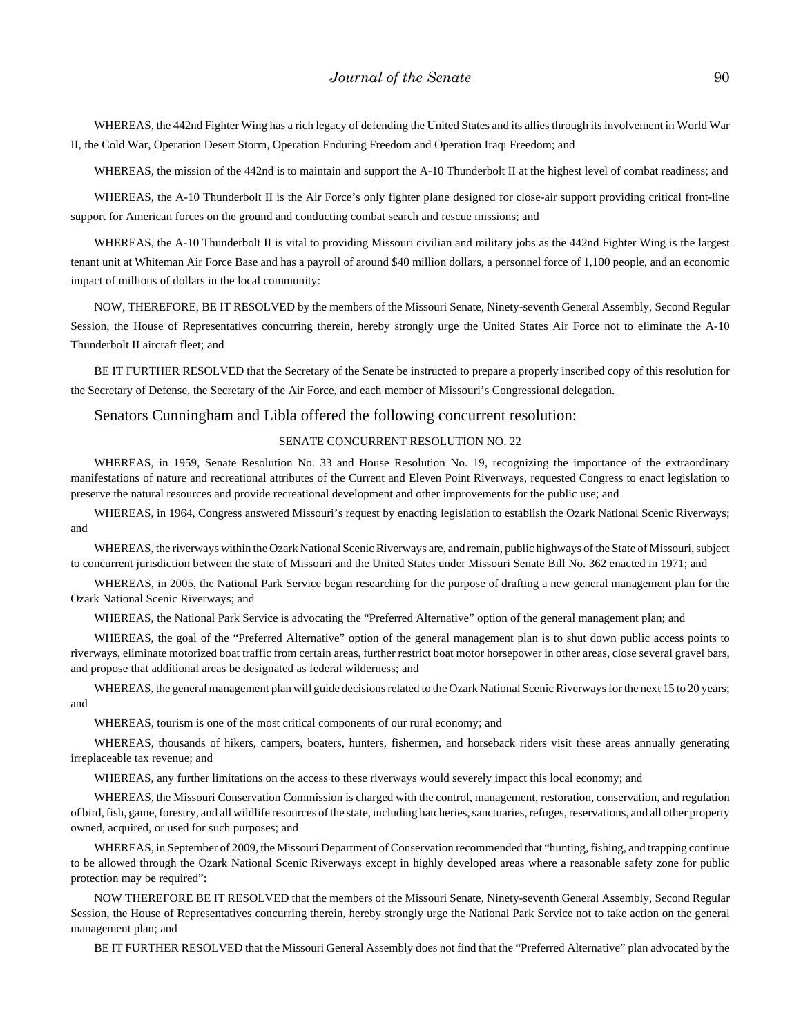WHEREAS, the 442nd Fighter Wing has a rich legacy of defending the United States and its allies through its involvement in World War II, the Cold War, Operation Desert Storm, Operation Enduring Freedom and Operation Iraqi Freedom; and

WHEREAS, the mission of the 442nd is to maintain and support the A-10 Thunderbolt II at the highest level of combat readiness; and

WHEREAS, the A-10 Thunderbolt II is the Air Force's only fighter plane designed for close-air support providing critical front-line support for American forces on the ground and conducting combat search and rescue missions; and

WHEREAS, the A-10 Thunderbolt II is vital to providing Missouri civilian and military jobs as the 442nd Fighter Wing is the largest tenant unit at Whiteman Air Force Base and has a payroll of around \$40 million dollars, a personnel force of 1,100 people, and an economic impact of millions of dollars in the local community:

NOW, THEREFORE, BE IT RESOLVED by the members of the Missouri Senate, Ninety-seventh General Assembly, Second Regular Session, the House of Representatives concurring therein, hereby strongly urge the United States Air Force not to eliminate the A-10 Thunderbolt II aircraft fleet; and

BE IT FURTHER RESOLVED that the Secretary of the Senate be instructed to prepare a properly inscribed copy of this resolution for the Secretary of Defense, the Secretary of the Air Force, and each member of Missouri's Congressional delegation.

#### Senators Cunningham and Libla offered the following concurrent resolution:

#### SENATE CONCURRENT RESOLUTION NO. 22

WHEREAS, in 1959, Senate Resolution No. 33 and House Resolution No. 19, recognizing the importance of the extraordinary manifestations of nature and recreational attributes of the Current and Eleven Point Riverways, requested Congress to enact legislation to preserve the natural resources and provide recreational development and other improvements for the public use; and

WHEREAS, in 1964, Congress answered Missouri's request by enacting legislation to establish the Ozark National Scenic Riverways; and

WHEREAS, the riverways within the Ozark National Scenic Riverways are, and remain, public highways of the State of Missouri, subject to concurrent jurisdiction between the state of Missouri and the United States under Missouri Senate Bill No. 362 enacted in 1971; and

WHEREAS, in 2005, the National Park Service began researching for the purpose of drafting a new general management plan for the Ozark National Scenic Riverways; and

WHEREAS, the National Park Service is advocating the "Preferred Alternative" option of the general management plan; and

WHEREAS, the goal of the "Preferred Alternative" option of the general management plan is to shut down public access points to riverways, eliminate motorized boat traffic from certain areas, further restrict boat motor horsepower in other areas, close several gravel bars, and propose that additional areas be designated as federal wilderness; and

WHEREAS, the general management plan will guide decisions related to the Ozark National Scenic Riverways for the next 15 to 20 years; and

WHEREAS, tourism is one of the most critical components of our rural economy; and

WHEREAS, thousands of hikers, campers, boaters, hunters, fishermen, and horseback riders visit these areas annually generating irreplaceable tax revenue; and

WHEREAS, any further limitations on the access to these riverways would severely impact this local economy; and

WHEREAS, the Missouri Conservation Commission is charged with the control, management, restoration, conservation, and regulation of bird, fish, game, forestry, and all wildlife resources of the state, including hatcheries, sanctuaries, refuges, reservations, and all other property owned, acquired, or used for such purposes; and

WHEREAS, in September of 2009, the Missouri Department of Conservation recommended that "hunting, fishing, and trapping continue to be allowed through the Ozark National Scenic Riverways except in highly developed areas where a reasonable safety zone for public protection may be required":

NOW THEREFORE BE IT RESOLVED that the members of the Missouri Senate, Ninety-seventh General Assembly, Second Regular Session, the House of Representatives concurring therein, hereby strongly urge the National Park Service not to take action on the general management plan; and

BE IT FURTHER RESOLVED that the Missouri General Assembly does not find that the "Preferred Alternative" plan advocated by the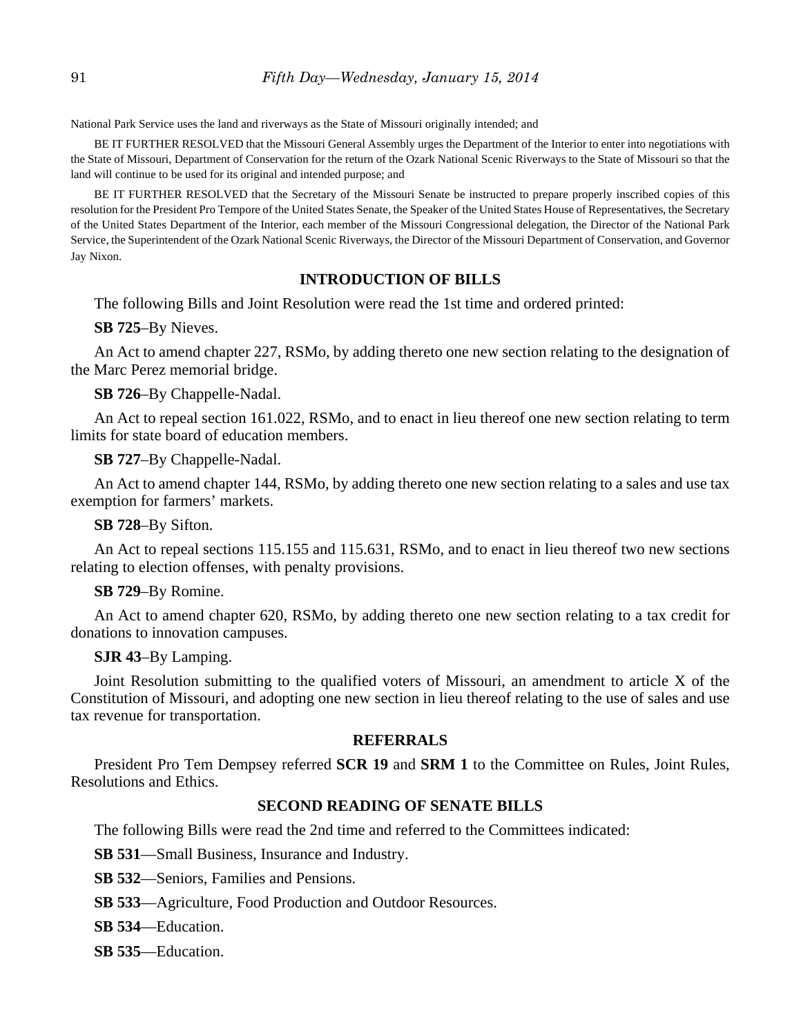National Park Service uses the land and riverways as the State of Missouri originally intended; and

BE IT FURTHER RESOLVED that the Missouri General Assembly urges the Department of the Interior to enter into negotiations with the State of Missouri, Department of Conservation for the return of the Ozark National Scenic Riverways to the State of Missouri so that the land will continue to be used for its original and intended purpose; and

BE IT FURTHER RESOLVED that the Secretary of the Missouri Senate be instructed to prepare properly inscribed copies of this resolution for the President Pro Tempore of the United States Senate, the Speaker of the United States House of Representatives, the Secretary of the United States Department of the Interior, each member of the Missouri Congressional delegation, the Director of the National Park Service, the Superintendent of the Ozark National Scenic Riverways, the Director of the Missouri Department of Conservation, and Governor Jay Nixon.

# **INTRODUCTION OF BILLS**

The following Bills and Joint Resolution were read the 1st time and ordered printed:

**SB 725**–By Nieves.

An Act to amend chapter 227, RSMo, by adding thereto one new section relating to the designation of the Marc Perez memorial bridge.

**SB 726**–By Chappelle-Nadal.

An Act to repeal section 161.022, RSMo, and to enact in lieu thereof one new section relating to term limits for state board of education members.

**SB 727**–By Chappelle-Nadal.

An Act to amend chapter 144, RSMo, by adding thereto one new section relating to a sales and use tax exemption for farmers' markets.

**SB 728**–By Sifton.

An Act to repeal sections 115.155 and 115.631, RSMo, and to enact in lieu thereof two new sections relating to election offenses, with penalty provisions.

# **SB 729**–By Romine.

An Act to amend chapter 620, RSMo, by adding thereto one new section relating to a tax credit for donations to innovation campuses.

# **SJR 43**–By Lamping.

Joint Resolution submitting to the qualified voters of Missouri, an amendment to article X of the Constitution of Missouri, and adopting one new section in lieu thereof relating to the use of sales and use tax revenue for transportation.

# **REFERRALS**

President Pro Tem Dempsey referred **SCR 19** and **SRM 1** to the Committee on Rules, Joint Rules, Resolutions and Ethics.

# **SECOND READING OF SENATE BILLS**

The following Bills were read the 2nd time and referred to the Committees indicated:

**SB 531**––Small Business, Insurance and Industry.

**SB 532**––Seniors, Families and Pensions.

**SB 533**––Agriculture, Food Production and Outdoor Resources.

**SB 534**––Education.

**SB 535**––Education.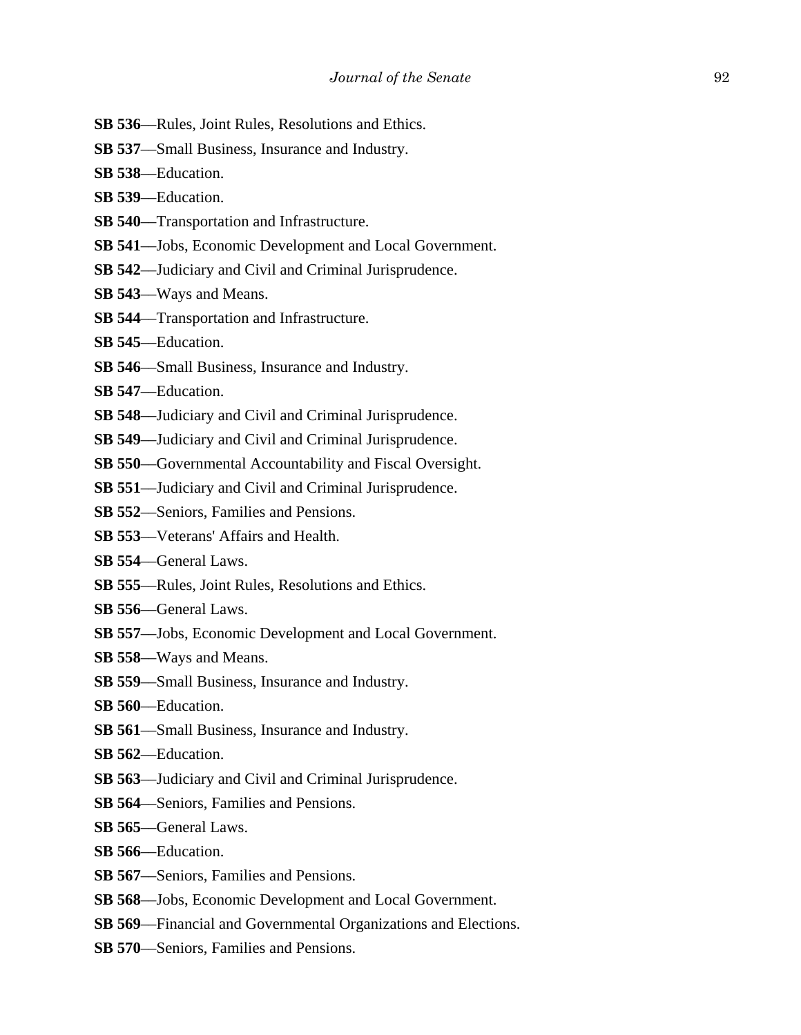- **SB 536**––Rules, Joint Rules, Resolutions and Ethics.
- **SB 537**––Small Business, Insurance and Industry.
- **SB 538**––Education.
- **SB 539**––Education.
- **SB 540**—Transportation and Infrastructure.
- **SB 541**––Jobs, Economic Development and Local Government.
- **SB 542**––Judiciary and Civil and Criminal Jurisprudence.
- **SB 543**––Ways and Means.
- **SB 544**––Transportation and Infrastructure.
- **SB 545**––Education.
- **SB 546**––Small Business, Insurance and Industry.
- **SB 547**––Education.
- **SB 548**––Judiciary and Civil and Criminal Jurisprudence.
- **SB 549**––Judiciary and Civil and Criminal Jurisprudence.
- **SB 550––Governmental Accountability and Fiscal Oversight.**
- **SB 551**––Judiciary and Civil and Criminal Jurisprudence.
- **SB 552**––Seniors, Families and Pensions.
- **SB 553**––Veterans' Affairs and Health.
- **SB 554**––General Laws.
- **SB 555**––Rules, Joint Rules, Resolutions and Ethics.
- **SB 556**––General Laws.
- **SB 557**––Jobs, Economic Development and Local Government.
- **SB 558**––Ways and Means.
- **SB 559**––Small Business, Insurance and Industry.
- **SB 560**––Education.
- **SB 561**––Small Business, Insurance and Industry.
- **SB 562**––Education.
- **SB 563**––Judiciary and Civil and Criminal Jurisprudence.
- **SB 564**––Seniors, Families and Pensions.
- **SB 565**––General Laws.
- **SB 566**––Education.
- **SB 567**––Seniors, Families and Pensions.
- **SB 568**––Jobs, Economic Development and Local Government.
- **SB 569**––Financial and Governmental Organizations and Elections.
- **SB 570––Seniors, Families and Pensions.**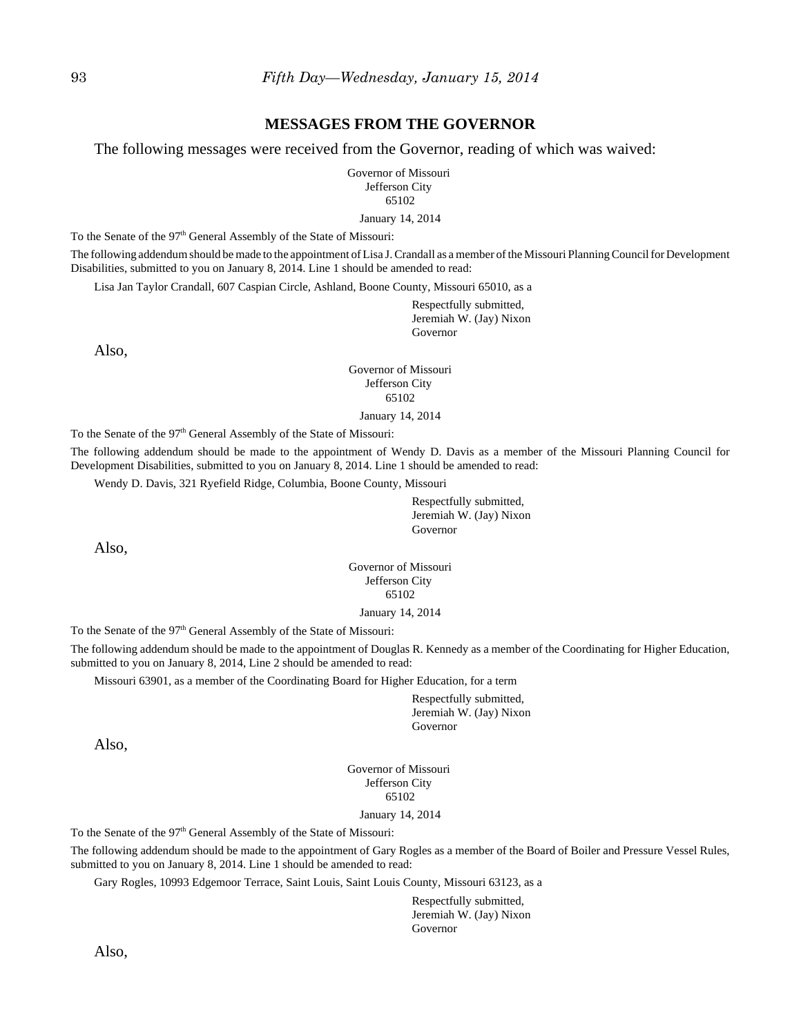### **MESSAGES FROM THE GOVERNOR**

The following messages were received from the Governor, reading of which was waived:

Governor of Missouri Jefferson City 65102

January 14, 2014

To the Senate of the 97<sup>th</sup> General Assembly of the State of Missouri:

The following addendum should be made to the appointment of Lisa J. Crandall as a member of the Missouri Planning Council for Development Disabilities, submitted to you on January 8, 2014. Line 1 should be amended to read:

Lisa Jan Taylor Crandall, 607 Caspian Circle, Ashland, Boone County, Missouri 65010, as a

Respectfully submitted, Jeremiah W. (Jay) Nixon Governor

Also,

Governor of Missouri Jefferson City 65102

January 14, 2014

To the Senate of the 97<sup>th</sup> General Assembly of the State of Missouri:

The following addendum should be made to the appointment of Wendy D. Davis as a member of the Missouri Planning Council for Development Disabilities, submitted to you on January 8, 2014. Line 1 should be amended to read:

Wendy D. Davis, 321 Ryefield Ridge, Columbia, Boone County, Missouri

Respectfully submitted, Jeremiah W. (Jay) Nixon Governor

Also,

Governor of Missouri Jefferson City 65102

January 14, 2014

To the Senate of the 97<sup>th</sup> General Assembly of the State of Missouri:

The following addendum should be made to the appointment of Douglas R. Kennedy as a member of the Coordinating for Higher Education, submitted to you on January 8, 2014, Line 2 should be amended to read:

Missouri 63901, as a member of the Coordinating Board for Higher Education, for a term

Respectfully submitted, Jeremiah W. (Jay) Nixon Governor

Also,

Governor of Missouri Jefferson City 65102 January 14, 2014

To the Senate of the 97<sup>th</sup> General Assembly of the State of Missouri:

The following addendum should be made to the appointment of Gary Rogles as a member of the Board of Boiler and Pressure Vessel Rules, submitted to you on January 8, 2014. Line 1 should be amended to read:

Gary Rogles, 10993 Edgemoor Terrace, Saint Louis, Saint Louis County, Missouri 63123, as a

Respectfully submitted, Jeremiah W. (Jay) Nixon Governor

Also,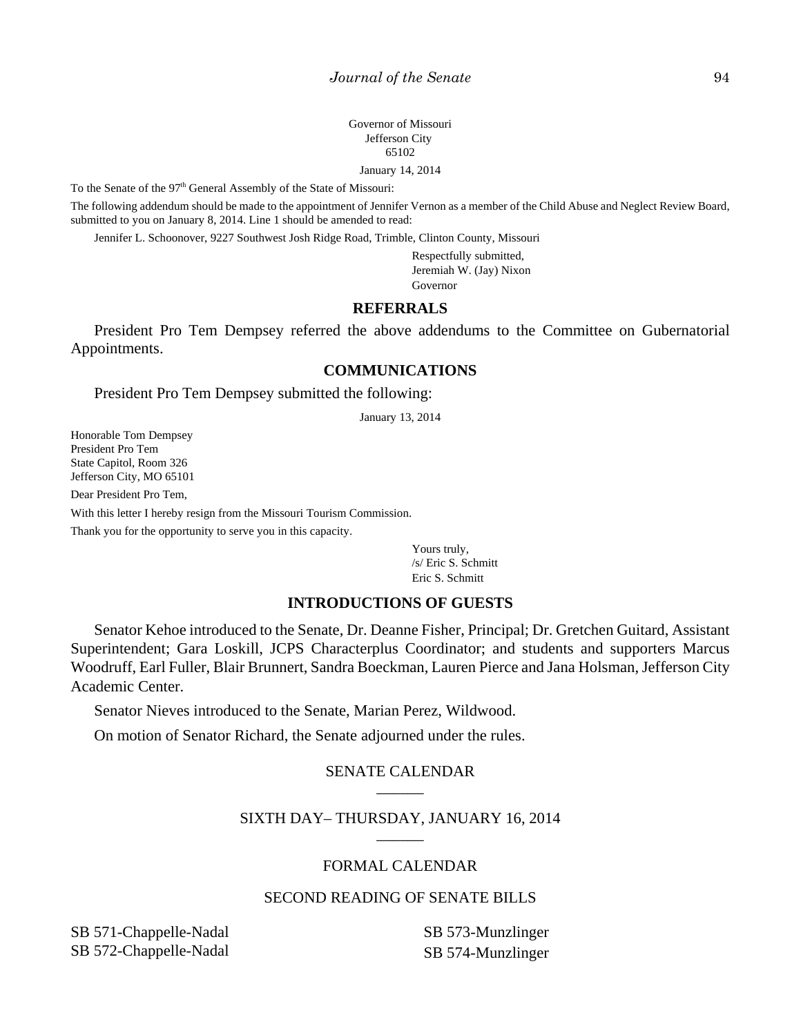Governor of Missouri Jefferson City 65102

January 14, 2014

To the Senate of the 97<sup>th</sup> General Assembly of the State of Missouri:

The following addendum should be made to the appointment of Jennifer Vernon as a member of the Child Abuse and Neglect Review Board, submitted to you on January 8, 2014. Line 1 should be amended to read:

Jennifer L. Schoonover, 9227 Southwest Josh Ridge Road, Trimble, Clinton County, Missouri

Respectfully submitted, Jeremiah W. (Jay) Nixon Governor

# **REFERRALS**

President Pro Tem Dempsey referred the above addendums to the Committee on Gubernatorial Appointments.

# **COMMUNICATIONS**

President Pro Tem Dempsey submitted the following:

January 13, 2014

Honorable Tom Dempsey President Pro Tem State Capitol, Room 326 Jefferson City, MO 65101

Dear President Pro Tem,

With this letter I hereby resign from the Missouri Tourism Commission.

Thank you for the opportunity to serve you in this capacity.

Yours truly, /s/ Eric S. Schmitt Eric S. Schmitt

# **INTRODUCTIONS OF GUESTS**

Senator Kehoe introduced to the Senate, Dr. Deanne Fisher, Principal; Dr. Gretchen Guitard, Assistant Superintendent; Gara Loskill, JCPS Characterplus Coordinator; and students and supporters Marcus Woodruff, Earl Fuller, Blair Brunnert, Sandra Boeckman, Lauren Pierce and Jana Holsman, Jefferson City Academic Center.

Senator Nieves introduced to the Senate, Marian Perez, Wildwood.

On motion of Senator Richard, the Senate adjourned under the rules.

# SENATE CALENDAR \_\_\_\_\_\_

# SIXTH DAY– THURSDAY, JANUARY 16, 2014 \_\_\_\_\_\_

## FORMAL CALENDAR

# SECOND READING OF SENATE BILLS

SB 571-Chappelle-Nadal SB 572-Chappelle-Nadal SB 573-Munzlinger SB 574-Munzlinger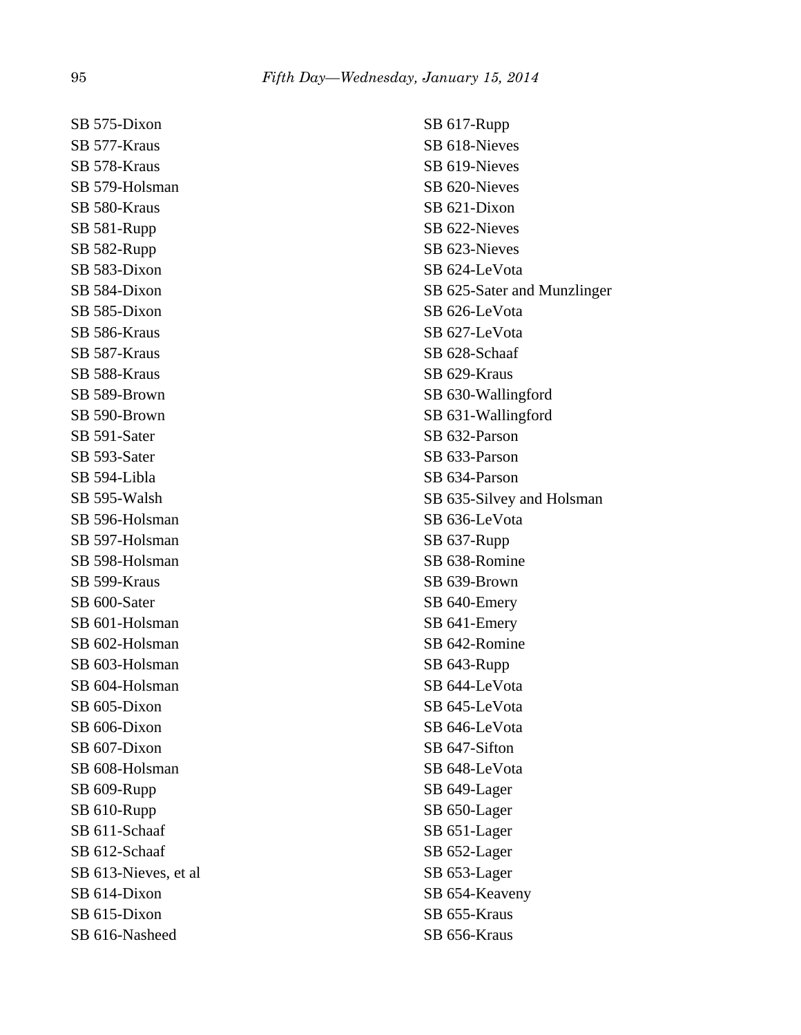SB 575-Dixon SB 577-Kraus SB 578-Kraus SB 579-Holsman SB 580-Kraus SB 581-Rupp SB 582-Rupp SB 583-Dixon SB 584-Dixon SB 585-Dixon SB 586-Kraus SB 587-Kraus SB 588-Kraus SB 589-Brown SB 590-Brown SB 591-Sater SB 593-Sater SB 594-Libla SB 595-Walsh SB 596-Holsman SB 597-Holsman SB 598-Holsman SB 599-Kraus SB 600-Sater SB 601-Holsman SB 602-Holsman SB 603-Holsman SB 604-Holsman SB 605-Dixon SB 606-Dixon SB 607-Dixon SB 608-Holsman SB 609-Rupp SB 610-Rupp SB 611-Schaaf SB 612-Schaaf SB 613-Nieves, et al SB 614-Dixon SB 615-Dixon SB 616-Nasheed

SB 617-Rupp SB 618-Nieves SB 619-Nieves SB 620-Nieves SB 621-Dixon SB 622-Nieves SB 623-Nieves SB 624-LeVota SB 625-Sater and Munzlinger SB 626-LeVota SB 627-LeVota SB 628-Schaaf SB 629-Kraus SB 630-Wallingford SB 631-Wallingford SB 632-Parson SB 633-Parson SB 634-Parson SB 635-Silvey and Holsman SB 636-LeVota SB 637-Rupp SB 638-Romine SB 639-Brown SB 640-Emery SB 641-Emery SB 642-Romine SB 643-Rupp SB 644-LeVota SB 645-LeVota SB 646-LeVota SB 647-Sifton SB 648-LeVota SB 649-Lager SB 650-Lager SB 651-Lager SB 652-Lager SB 653-Lager SB 654-Keaveny SB 655-Kraus SB 656-Kraus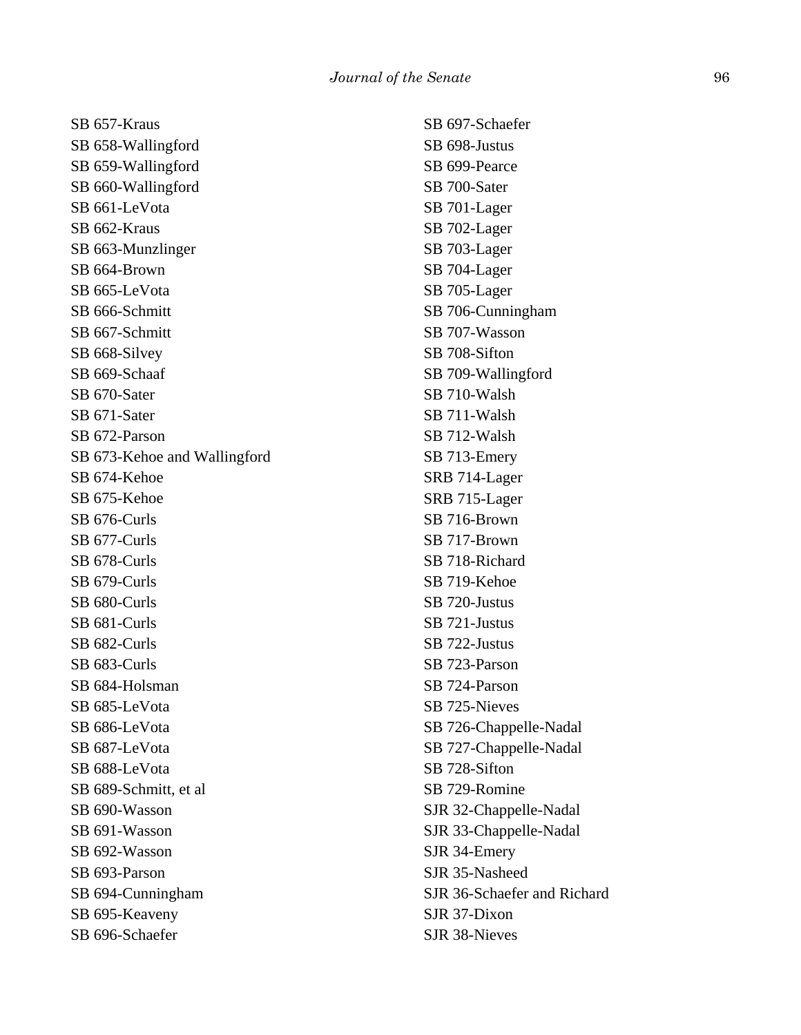SB 657-Kraus SB 658-Wallingford SB 659-Wallingford SB 660-Wallingford SB 661-LeVota SB 662-Kraus SB 663-Munzlinger SB 664-Brown SB 665-LeVota SB 666-Schmitt SB 667-Schmitt SB 668-Silvey SB 669-Schaaf SB 670-Sater SB 671-Sater SB 672-Parson SB 673-Kehoe and Wallingford SB 674-Kehoe SB 675-Kehoe SB 676-Curls SB 677-Curls SB 678-Curls SB 679-Curls SB 680-Curls SB 681-Curls SB 682-Curls SB 683-Curls SB 684-Holsman SB 685-LeVota SB 686-LeVota SB 687-LeVota SB 688-LeVota SB 689-Schmitt, et al SB 690-Wasson SB 691-Wasson SB 692-Wasson SB 693-Parson SB 694-Cunningham SB 695-Keaveny SB 696-Schaefer

SB 697-Schaefer SB 698-Justus SB 699-Pearce SB 700-Sater SB 701-Lager SB 702-Lager SB 703-Lager SB 704-Lager SB 705-Lager SB 706-Cunningham SB 707-Wasson SB 708-Sifton SB 709-Wallingford SB 710-Walsh SB 711-Walsh SB 712-Walsh SB 713-Emery SRB 714-Lager SRB 715-Lager SB 716-Brown SB 717-Brown SB 718-Richard SB 719-Kehoe SB 720-Justus SB 721-Justus SB 722-Justus SB 723-Parson SB 724-Parson SB 725-Nieves SB 726-Chappelle-Nadal SB 727-Chappelle-Nadal SB 728-Sifton SB 729-Romine SJR 32-Chappelle-Nadal SJR 33-Chappelle-Nadal SJR 34-Emery SJR 35-Nasheed SJR 36-Schaefer and Richard SJR 37-Dixon SJR 38-Nieves